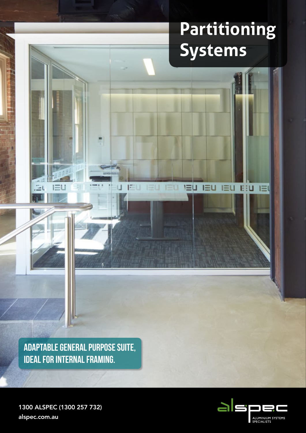# **Partitioning Systems**

**IEU IEU** 

Е

**ADAPTABLE GENERAL PURPOSE SUITE, IDEAL FOR INTERNAL FRAMING.**

1300 ALSPEC (1300 257 732) alspec.com.au



**IBU IEU** 

**IEU**